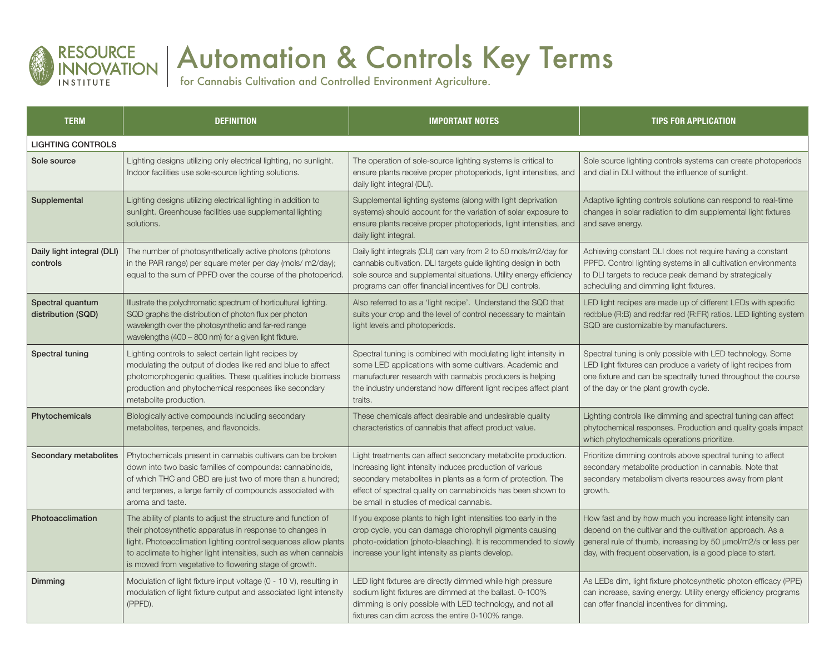

## Automation & Controls Key Terms

for Cannabis Cultivation and Controlled Environment Agriculture.

| <b>TERM</b>                            | <b>DEFINITION</b>                                                                                                                                                                                                                                                                                                         | <b>IMPORTANT NOTES</b>                                                                                                                                                                                                                                                                               | <b>TIPS FOR APPLICATION</b>                                                                                                                                                                                                                          |
|----------------------------------------|---------------------------------------------------------------------------------------------------------------------------------------------------------------------------------------------------------------------------------------------------------------------------------------------------------------------------|------------------------------------------------------------------------------------------------------------------------------------------------------------------------------------------------------------------------------------------------------------------------------------------------------|------------------------------------------------------------------------------------------------------------------------------------------------------------------------------------------------------------------------------------------------------|
| <b>LIGHTING CONTROLS</b>               |                                                                                                                                                                                                                                                                                                                           |                                                                                                                                                                                                                                                                                                      |                                                                                                                                                                                                                                                      |
| Sole source                            | Lighting designs utilizing only electrical lighting, no sunlight.<br>Indoor facilities use sole-source lighting solutions.                                                                                                                                                                                                | The operation of sole-source lighting systems is critical to<br>ensure plants receive proper photoperiods, light intensities, and<br>daily light integral (DLI).                                                                                                                                     | Sole source lighting controls systems can create photoperiods<br>and dial in DLI without the influence of sunlight.                                                                                                                                  |
| Supplemental                           | Lighting designs utilizing electrical lighting in addition to<br>sunlight. Greenhouse facilities use supplemental lighting<br>solutions.                                                                                                                                                                                  | Supplemental lighting systems (along with light deprivation<br>systems) should account for the variation of solar exposure to<br>ensure plants receive proper photoperiods, light intensities, and<br>daily light integral.                                                                          | Adaptive lighting controls solutions can respond to real-time<br>changes in solar radiation to dim supplemental light fixtures<br>and save energy.                                                                                                   |
| Daily light integral (DLI)<br>controls | The number of photosynthetically active photons (photons<br>in the PAR range) per square meter per day (mols/m2/day);<br>equal to the sum of PPFD over the course of the photoperiod.                                                                                                                                     | Daily light integrals (DLI) can vary from 2 to 50 mols/m2/day for<br>cannabis cultivation. DLI targets guide lighting design in both<br>sole source and supplemental situations. Utility energy efficiency<br>programs can offer financial incentives for DLI controls.                              | Achieving constant DLI does not require having a constant<br>PPFD. Control lighting systems in all cultivation environments<br>to DLI targets to reduce peak demand by strategically<br>scheduling and dimming light fixtures.                       |
| Spectral quantum<br>distribution (SQD) | Illustrate the polychromatic spectrum of horticultural lighting.<br>SQD graphs the distribution of photon flux per photon<br>wavelength over the photosynthetic and far-red range<br>wavelengths (400 - 800 nm) for a given light fixture.                                                                                | Also referred to as a 'light recipe'. Understand the SQD that<br>suits your crop and the level of control necessary to maintain<br>light levels and photoperiods.                                                                                                                                    | LED light recipes are made up of different LEDs with specific<br>red:blue (R:B) and red:far red (R:FR) ratios. LED lighting system<br>SQD are customizable by manufacturers.                                                                         |
| Spectral tuning                        | Lighting controls to select certain light recipes by<br>modulating the output of diodes like red and blue to affect<br>photomorphogenic qualities. These qualities include biomass<br>production and phytochemical responses like secondary<br>metabolite production.                                                     | Spectral tuning is combined with modulating light intensity in<br>some LED applications with some cultivars. Academic and<br>manufacturer research with cannabis producers is helping<br>the industry understand how different light recipes affect plant<br>traits.                                 | Spectral tuning is only possible with LED technology. Some<br>LED light fixtures can produce a variety of light recipes from<br>one fixture and can be spectrally tuned throughout the course<br>of the day or the plant growth cycle.               |
| Phytochemicals                         | Biologically active compounds including secondary<br>metabolites, terpenes, and flavonoids.                                                                                                                                                                                                                               | These chemicals affect desirable and undesirable quality<br>characteristics of cannabis that affect product value.                                                                                                                                                                                   | Lighting controls like dimming and spectral tuning can affect<br>phytochemical responses. Production and quality goals impact<br>which phytochemicals operations prioritize.                                                                         |
| Secondary metabolites                  | Phytochemicals present in cannabis cultivars can be broken<br>down into two basic families of compounds: cannabinoids,<br>of which THC and CBD are just two of more than a hundred;<br>and terpenes, a large family of compounds associated with<br>aroma and taste.                                                      | Light treatments can affect secondary metabolite production.<br>Increasing light intensity induces production of various<br>secondary metabolites in plants as a form of protection. The<br>effect of spectral quality on cannabinoids has been shown to<br>be small in studies of medical cannabis. | Prioritize dimming controls above spectral tuning to affect<br>secondary metabolite production in cannabis. Note that<br>secondary metabolism diverts resources away from plant<br>growth.                                                           |
| Photoacclimation                       | The ability of plants to adjust the structure and function of<br>their photosynthetic apparatus in response to changes in<br>light. Photoacclimation lighting control sequences allow plants<br>to acclimate to higher light intensities, such as when cannabis<br>is moved from vegetative to flowering stage of growth. | If you expose plants to high light intensities too early in the<br>crop cycle, you can damage chlorophyll pigments causing<br>photo-oxidation (photo-bleaching). It is recommended to slowly<br>increase your light intensity as plants develop.                                                     | How fast and by how much you increase light intensity can<br>depend on the cultivar and the cultivation approach. As a<br>general rule of thumb, increasing by 50 umol/m2/s or less per<br>day, with frequent observation, is a good place to start. |
| Dimming                                | Modulation of light fixture input voltage (0 - 10 V), resulting in<br>modulation of light fixture output and associated light intensity<br>(PPFD).                                                                                                                                                                        | LED light fixtures are directly dimmed while high pressure<br>sodium light fixtures are dimmed at the ballast. 0-100%<br>dimming is only possible with LED technology, and not all<br>fixtures can dim across the entire 0-100% range.                                                               | As LEDs dim, light fixture photosynthetic photon efficacy (PPE)<br>can increase, saving energy. Utility energy efficiency programs<br>can offer financial incentives for dimming.                                                                    |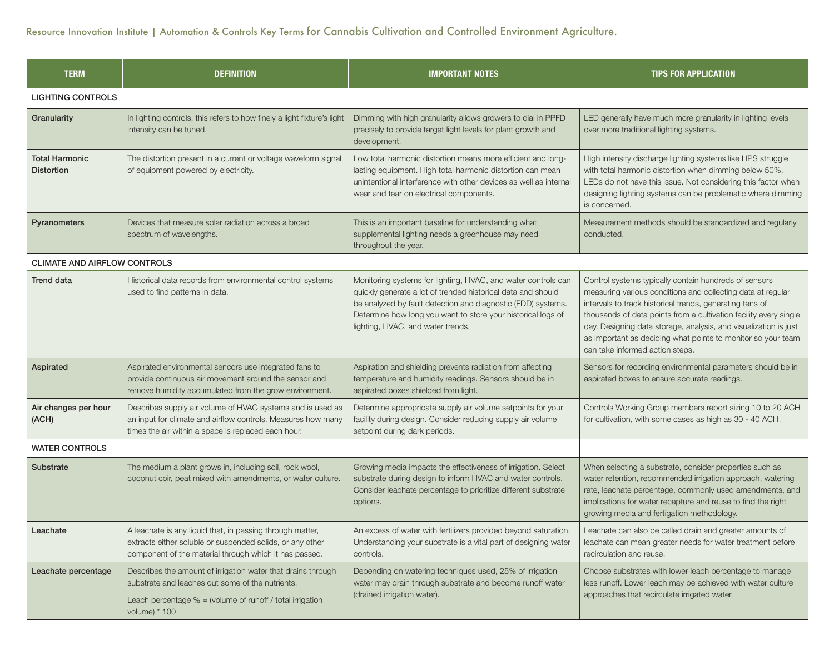| <b>TERM</b>                                | <b>DEFINITION</b>                                                                                                                                                                                | <b>IMPORTANT NOTES</b>                                                                                                                                                                                                                                                                             | <b>TIPS FOR APPLICATION</b>                                                                                                                                                                                                                                                                                                                                                                                                  |
|--------------------------------------------|--------------------------------------------------------------------------------------------------------------------------------------------------------------------------------------------------|----------------------------------------------------------------------------------------------------------------------------------------------------------------------------------------------------------------------------------------------------------------------------------------------------|------------------------------------------------------------------------------------------------------------------------------------------------------------------------------------------------------------------------------------------------------------------------------------------------------------------------------------------------------------------------------------------------------------------------------|
| <b>LIGHTING CONTROLS</b>                   |                                                                                                                                                                                                  |                                                                                                                                                                                                                                                                                                    |                                                                                                                                                                                                                                                                                                                                                                                                                              |
| Granularity                                | In lighting controls, this refers to how finely a light fixture's light<br>intensity can be tuned.                                                                                               | Dimming with high granularity allows growers to dial in PPFD<br>precisely to provide target light levels for plant growth and<br>development.                                                                                                                                                      | LED generally have much more granularity in lighting levels<br>over more traditional lighting systems.                                                                                                                                                                                                                                                                                                                       |
| <b>Total Harmonic</b><br><b>Distortion</b> | The distortion present in a current or voltage waveform signal<br>of equipment powered by electricity.                                                                                           | Low total harmonic distortion means more efficient and long-<br>lasting equipment. High total harmonic distortion can mean<br>unintentional interference with other devices as well as internal<br>wear and tear on electrical components.                                                         | High intensity discharge lighting systems like HPS struggle<br>with total harmonic distortion when dimming below 50%.<br>LEDs do not have this issue. Not considering this factor when<br>designing lighting systems can be problematic where dimming<br>is concerned.                                                                                                                                                       |
| Pyranometers                               | Devices that measure solar radiation across a broad<br>spectrum of wavelengths.                                                                                                                  | This is an important baseline for understanding what<br>supplemental lighting needs a greenhouse may need<br>throughout the year.                                                                                                                                                                  | Measurement methods should be standardized and regularly<br>conducted.                                                                                                                                                                                                                                                                                                                                                       |
| <b>CLIMATE AND AIRFLOW CONTROLS</b>        |                                                                                                                                                                                                  |                                                                                                                                                                                                                                                                                                    |                                                                                                                                                                                                                                                                                                                                                                                                                              |
| <b>Trend data</b>                          | Historical data records from environmental control systems<br>used to find patterns in data.                                                                                                     | Monitoring systems for lighting, HVAC, and water controls can<br>quickly generate a lot of trended historical data and should<br>be analyzed by fault detection and diagnostic (FDD) systems.<br>Determine how long you want to store your historical logs of<br>lighting, HVAC, and water trends. | Control systems typically contain hundreds of sensors<br>measuring various conditions and collecting data at regular<br>intervals to track historical trends, generating tens of<br>thousands of data points from a cultivation facility every single<br>day. Designing data storage, analysis, and visualization is just<br>as important as deciding what points to monitor so your team<br>can take informed action steps. |
| Aspirated                                  | Aspirated environmental sencors use integrated fans to<br>provide continuous air movement around the sensor and<br>remove humidity accumulated from the grow environment.                        | Aspiration and shielding prevents radiation from affecting<br>temperature and humidity readings. Sensors should be in<br>aspirated boxes shielded from light.                                                                                                                                      | Sensors for recording environmental parameters should be in<br>aspirated boxes to ensure accurate readings.                                                                                                                                                                                                                                                                                                                  |
| Air changes per hour<br>(ACH)              | Describes supply air volume of HVAC systems and is used as<br>an input for climate and airflow controls. Measures how many<br>times the air within a space is replaced each hour.                | Determine approprioate supply air volume setpoints for your<br>facility during design. Consider reducing supply air volume<br>setpoint during dark periods.                                                                                                                                        | Controls Working Group members report sizing 10 to 20 ACH<br>for cultivation, with some cases as high as 30 - 40 ACH.                                                                                                                                                                                                                                                                                                        |
| <b>WATER CONTROLS</b>                      |                                                                                                                                                                                                  |                                                                                                                                                                                                                                                                                                    |                                                                                                                                                                                                                                                                                                                                                                                                                              |
| <b>Substrate</b>                           | The medium a plant grows in, including soil, rock wool,<br>coconut coir, peat mixed with amendments, or water culture.                                                                           | Growing media impacts the effectiveness of irrigation. Select<br>substrate during design to inform HVAC and water controls.<br>Consider leachate percentage to prioritize different substrate<br>options.                                                                                          | When selecting a substrate, consider properties such as<br>water retention, recommended irrigation approach, watering<br>rate, leachate percentage, commonly used amendments, and<br>implications for water recapture and reuse to find the right<br>growing media and fertigation methodology.                                                                                                                              |
| Leachate                                   | A leachate is any liquid that, in passing through matter,<br>extracts either soluble or suspended solids, or any other<br>component of the material through which it has passed.                 | An excess of water with fertilizers provided beyond saturation.<br>Understanding your substrate is a vital part of designing water<br>controls.                                                                                                                                                    | Leachate can also be called drain and greater amounts of<br>leachate can mean greater needs for water treatment before<br>recirculation and reuse.                                                                                                                                                                                                                                                                           |
| Leachate percentage                        | Describes the amount of irrigation water that drains through<br>substrate and leaches out some of the nutrients.<br>Leach percentage $% =$ (volume of runoff / total irrigation<br>volume) * 100 | Depending on watering techniques used, 25% of irrigation<br>water may drain through substrate and become runoff water<br>(drained irrigation water).                                                                                                                                               | Choose substrates with lower leach percentage to manage<br>less runoff. Lower leach may be achieved with water culture<br>approaches that recirculate irrigated water.                                                                                                                                                                                                                                                       |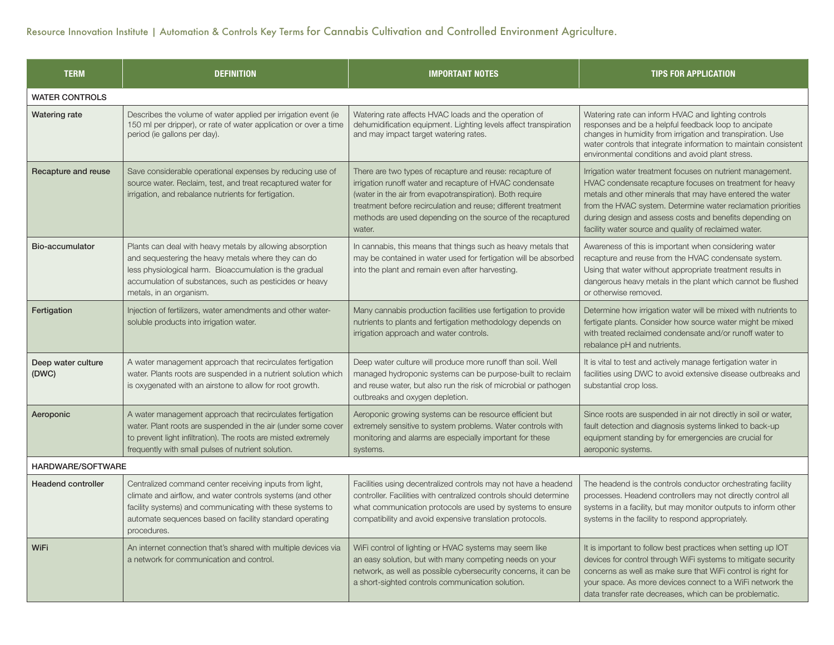| <b>TERM</b>                 | <b>DEFINITION</b>                                                                                                                                                                                                                                                | <b>IMPORTANT NOTES</b>                                                                                                                                                                                                                                                                                                    | <b>TIPS FOR APPLICATION</b>                                                                                                                                                                                                                                                                                                                                              |
|-----------------------------|------------------------------------------------------------------------------------------------------------------------------------------------------------------------------------------------------------------------------------------------------------------|---------------------------------------------------------------------------------------------------------------------------------------------------------------------------------------------------------------------------------------------------------------------------------------------------------------------------|--------------------------------------------------------------------------------------------------------------------------------------------------------------------------------------------------------------------------------------------------------------------------------------------------------------------------------------------------------------------------|
| <b>WATER CONTROLS</b>       |                                                                                                                                                                                                                                                                  |                                                                                                                                                                                                                                                                                                                           |                                                                                                                                                                                                                                                                                                                                                                          |
| Watering rate               | Describes the volume of water applied per irrigation event (ie<br>150 ml per dripper), or rate of water application or over a time<br>period (ie gallons per day).                                                                                               | Watering rate affects HVAC loads and the operation of<br>dehumidification equipment. Lighting levels affect transpiration<br>and may impact target watering rates.                                                                                                                                                        | Watering rate can inform HVAC and lighting controls<br>responses and be a helpful feedback loop to ancipate<br>changes in humidity from irrigation and transpiration. Use<br>water controls that integrate information to maintain consistent<br>environmental conditions and avoid plant stress.                                                                        |
| Recapture and reuse         | Save considerable operational expenses by reducing use of<br>source water. Reclaim, test, and treat recaptured water for<br>irrigation, and rebalance nutrients for fertigation.                                                                                 | There are two types of recapture and reuse: recapture of<br>irrigation runoff water and recapture of HVAC condensate<br>(water in the air from evapotranspiration). Both require<br>treatment before recirculation and reuse; different treatment<br>methods are used depending on the source of the recaptured<br>water. | Irrigation water treatment focuses on nutrient management.<br>HVAC condensate recapture focuses on treatment for heavy<br>metals and other minerals that may have entered the water<br>from the HVAC system. Determine water reclamation priorities<br>during design and assess costs and benefits depending on<br>facility water source and quality of reclaimed water. |
| Bio-accumulator             | Plants can deal with heavy metals by allowing absorption<br>and sequestering the heavy metals where they can do<br>less physiological harm. Bioaccumulation is the gradual<br>accumulation of substances, such as pesticides or heavy<br>metals, in an organism. | In cannabis, this means that things such as heavy metals that<br>may be contained in water used for fertigation will be absorbed<br>into the plant and remain even after harvesting.                                                                                                                                      | Awareness of this is important when considering water<br>recapture and reuse from the HVAC condensate system.<br>Using that water without appropriate treatment results in<br>dangerous heavy metals in the plant which cannot be flushed<br>or otherwise removed.                                                                                                       |
| Fertigation                 | Injection of fertilizers, water amendments and other water-<br>soluble products into irrigation water.                                                                                                                                                           | Many cannabis production facilities use fertigation to provide<br>nutrients to plants and fertigation methodology depends on<br>irrigation approach and water controls.                                                                                                                                                   | Determine how irrigation water will be mixed with nutrients to<br>fertigate plants. Consider how source water might be mixed<br>with treated reclaimed condensate and/or runoff water to<br>rebalance pH and nutrients.                                                                                                                                                  |
| Deep water culture<br>(DWC) | A water management approach that recirculates fertigation<br>water. Plants roots are suspended in a nutrient solution which<br>is oxygenated with an airstone to allow for root growth.                                                                          | Deep water culture will produce more runoff than soil. Well<br>managed hydroponic systems can be purpose-built to reclaim<br>and reuse water, but also run the risk of microbial or pathogen<br>outbreaks and oxygen depletion.                                                                                           | It is vital to test and actively manage fertigation water in<br>facilities using DWC to avoid extensive disease outbreaks and<br>substantial crop loss.                                                                                                                                                                                                                  |
| Aeroponic                   | A water management approach that recirculates fertigation<br>water. Plant roots are suspended in the air (under some cover<br>to prevent light infiltration). The roots are misted extremely<br>frequently with small pulses of nutrient solution.               | Aeroponic growing systems can be resource efficient but<br>extremely sensitive to system problems. Water controls with<br>monitoring and alarms are especially important for these<br>systems.                                                                                                                            | Since roots are suspended in air not directly in soil or water,<br>fault detection and diagnosis systems linked to back-up<br>equipment standing by for emergencies are crucial for<br>aeroponic systems.                                                                                                                                                                |
| <b>HARDWARE/SOFTWARE</b>    |                                                                                                                                                                                                                                                                  |                                                                                                                                                                                                                                                                                                                           |                                                                                                                                                                                                                                                                                                                                                                          |
| <b>Headend controller</b>   | Centralized command center receiving inputs from light,<br>climate and airflow, and water controls systems (and other<br>facility systems) and communicating with these systems to<br>automate sequences based on facility standard operating<br>procedures.     | Facilities using decentralized controls may not have a headend<br>controller. Facilities with centralized controls should determine<br>what communication protocols are used by systems to ensure<br>compatibility and avoid expensive translation protocols.                                                             | The headend is the controls conductor orchestrating facility<br>processes. Headend controllers may not directly control all<br>systems in a facility, but may monitor outputs to inform other<br>systems in the facility to respond appropriately.                                                                                                                       |
| <b>WiFi</b>                 | An internet connection that's shared with multiple devices via<br>a network for communication and control.                                                                                                                                                       | WiFi control of lighting or HVAC systems may seem like<br>an easy solution, but with many competing needs on your<br>network, as well as possible cybersecurity concerns, it can be<br>a short-sighted controls communication solution.                                                                                   | It is important to follow best practices when setting up IOT<br>devices for control through WiFi systems to mitigate security<br>concerns as well as make sure that WiFi control is right for<br>your space. As more devices connect to a WiFi network the<br>data transfer rate decreases, which can be problematic.                                                    |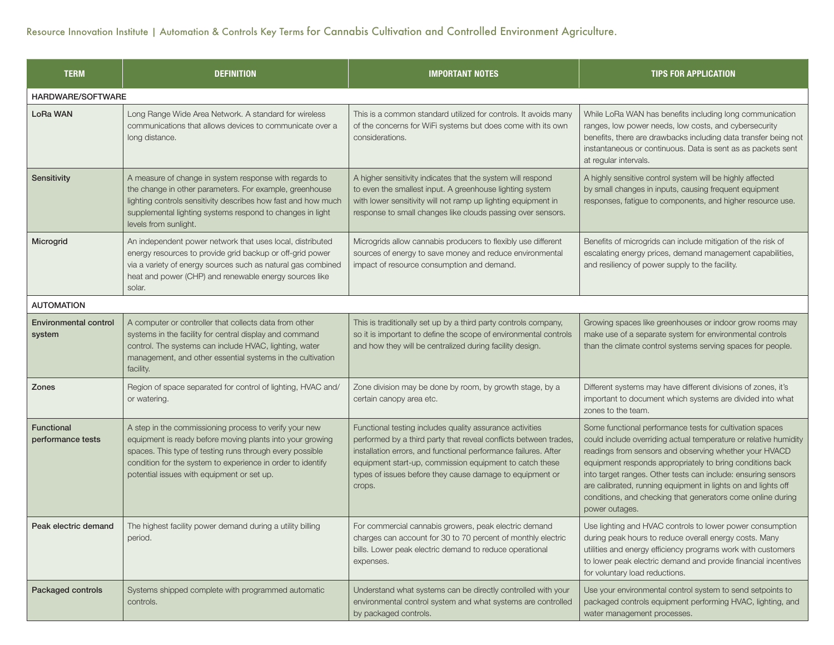| <b>TERM</b>                            | <b>DEFINITION</b>                                                                                                                                                                                                                                                                            | <b>IMPORTANT NOTES</b>                                                                                                                                                                                                                                                                                                           | <b>TIPS FOR APPLICATION</b>                                                                                                                                                                                                                                                                                                                                                                                                                                            |
|----------------------------------------|----------------------------------------------------------------------------------------------------------------------------------------------------------------------------------------------------------------------------------------------------------------------------------------------|----------------------------------------------------------------------------------------------------------------------------------------------------------------------------------------------------------------------------------------------------------------------------------------------------------------------------------|------------------------------------------------------------------------------------------------------------------------------------------------------------------------------------------------------------------------------------------------------------------------------------------------------------------------------------------------------------------------------------------------------------------------------------------------------------------------|
| HARDWARE/SOFTWARE                      |                                                                                                                                                                                                                                                                                              |                                                                                                                                                                                                                                                                                                                                  |                                                                                                                                                                                                                                                                                                                                                                                                                                                                        |
| <b>LoRa WAN</b>                        | Long Range Wide Area Network. A standard for wireless<br>communications that allows devices to communicate over a<br>long distance.                                                                                                                                                          | This is a common standard utilized for controls. It avoids many<br>of the concerns for WiFi systems but does come with its own<br>considerations.                                                                                                                                                                                | While LoRa WAN has benefits including long communication<br>ranges, low power needs, low costs, and cybersecurity<br>benefits, there are drawbacks including data transfer being not<br>instantaneous or continuous. Data is sent as as packets sent<br>at regular intervals.                                                                                                                                                                                          |
| Sensitivity                            | A measure of change in system response with regards to<br>the change in other parameters. For example, greenhouse<br>lighting controls sensitivity describes how fast and how much<br>supplemental lighting systems respond to changes in light<br>levels from sunlight.                     | A higher sensitivity indicates that the system will respond<br>to even the smallest input. A greenhouse lighting system<br>with lower sensitivity will not ramp up lighting equipment in<br>response to small changes like clouds passing over sensors.                                                                          | A highly sensitive control system will be highly affected<br>by small changes in inputs, causing frequent equipment<br>responses, fatigue to components, and higher resource use.                                                                                                                                                                                                                                                                                      |
| Microgrid                              | An independent power network that uses local, distributed<br>energy resources to provide grid backup or off-grid power<br>via a variety of energy sources such as natural gas combined<br>heat and power (CHP) and renewable energy sources like<br>solar.                                   | Microgrids allow cannabis producers to flexibly use different<br>sources of energy to save money and reduce environmental<br>impact of resource consumption and demand.                                                                                                                                                          | Benefits of microgrids can include mitigation of the risk of<br>escalating energy prices, demand management capabilities,<br>and resiliency of power supply to the facility.                                                                                                                                                                                                                                                                                           |
| <b>AUTOMATION</b>                      |                                                                                                                                                                                                                                                                                              |                                                                                                                                                                                                                                                                                                                                  |                                                                                                                                                                                                                                                                                                                                                                                                                                                                        |
| <b>Environmental control</b><br>system | A computer or controller that collects data from other<br>systems in the facility for central display and command<br>control. The systems can include HVAC, lighting, water<br>management, and other essential systems in the cultivation<br>facility.                                       | This is traditionally set up by a third party controls company,<br>so it is important to define the scope of environmental controls<br>and how they will be centralized during facility design.                                                                                                                                  | Growing spaces like greenhouses or indoor grow rooms may<br>make use of a separate system for environmental controls<br>than the climate control systems serving spaces for people.                                                                                                                                                                                                                                                                                    |
| Zones                                  | Region of space separated for control of lighting, HVAC and/<br>or watering.                                                                                                                                                                                                                 | Zone division may be done by room, by growth stage, by a<br>certain canopy area etc.                                                                                                                                                                                                                                             | Different systems may have different divisions of zones, it's<br>important to document which systems are divided into what<br>zones to the team.                                                                                                                                                                                                                                                                                                                       |
| <b>Functional</b><br>performance tests | A step in the commissioning process to verify your new<br>equipment is ready before moving plants into your growing<br>spaces. This type of testing runs through every possible<br>condition for the system to experience in order to identify<br>potential issues with equipment or set up. | Functional testing includes quality assurance activities<br>performed by a third party that reveal conflicts between trades,<br>installation errors, and functional performance failures. After<br>equipment start-up, commission equipment to catch these<br>types of issues before they cause damage to equipment or<br>crops. | Some functional performance tests for cultivation spaces<br>could include overriding actual temperature or relative humidity<br>readings from sensors and observing whether your HVACD<br>equipment responds appropriately to bring conditions back<br>into target ranges. Other tests can include: ensuring sensors<br>are calibrated, running equipment in lights on and lights off<br>conditions, and checking that generators come online during<br>power outages. |
| Peak electric demand                   | The highest facility power demand during a utility billing<br>period.                                                                                                                                                                                                                        | For commercial cannabis growers, peak electric demand<br>charges can account for 30 to 70 percent of monthly electric<br>bills. Lower peak electric demand to reduce operational<br>expenses.                                                                                                                                    | Use lighting and HVAC controls to lower power consumption<br>during peak hours to reduce overall energy costs. Many<br>utilities and energy efficiency programs work with customers<br>to lower peak electric demand and provide financial incentives<br>for voluntary load reductions.                                                                                                                                                                                |
| <b>Packaged controls</b>               | Systems shipped complete with programmed automatic<br>controls.                                                                                                                                                                                                                              | Understand what systems can be directly controlled with your<br>environmental control system and what systems are controlled<br>by packaged controls.                                                                                                                                                                            | Use your environmental control system to send setpoints to<br>packaged controls equipment performing HVAC, lighting, and<br>water management processes.                                                                                                                                                                                                                                                                                                                |